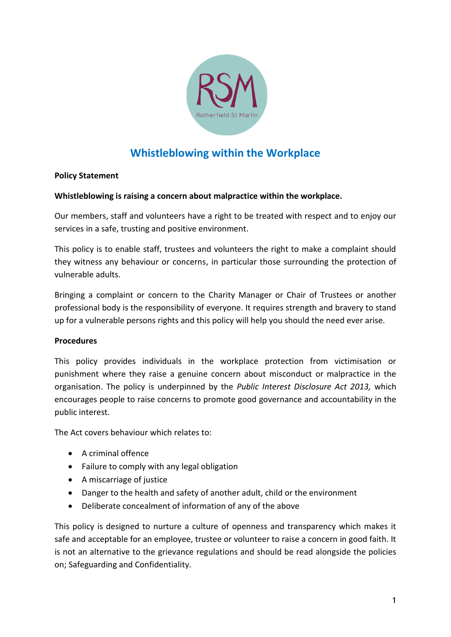

# **Whistleblowing within the Workplace**

# **Policy Statement**

### **Whistleblowing is raising a concern about malpractice within the workplace.**

Our members, staff and volunteers have a right to be treated with respect and to enjoy our services in a safe, trusting and positive environment.

This policy is to enable staff, trustees and volunteers the right to make a complaint should they witness any behaviour or concerns, in particular those surrounding the protection of vulnerable adults.

Bringing a complaint or concern to the Charity Manager or Chair of Trustees or another professional body is the responsibility of everyone. It requires strength and bravery to stand up for a vulnerable persons rights and this policy will help you should the need ever arise.

#### **Procedures**

This policy provides individuals in the workplace protection from victimisation or punishment where they raise a genuine concern about misconduct or malpractice in the organisation. The policy is underpinned by the *Public Interest Disclosure Act 2013,* which encourages people to raise concerns to promote good governance and accountability in the public interest.

The Act covers behaviour which relates to:

- A criminal offence
- Failure to comply with any legal obligation
- A miscarriage of justice
- Danger to the health and safety of another adult, child or the environment
- Deliberate concealment of information of any of the above

This policy is designed to nurture a culture of openness and transparency which makes it safe and acceptable for an employee, trustee or volunteer to raise a concern in good faith. It is not an alternative to the grievance regulations and should be read alongside the policies on; Safeguarding and Confidentiality.